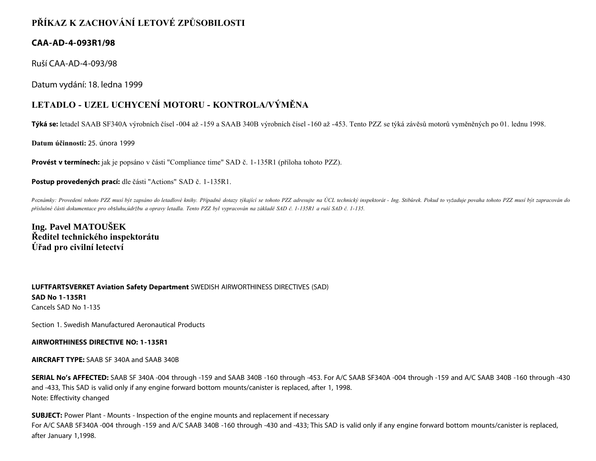## **PŘÍKAZ K ZACHOVÁNÍ LETOVÉ ZPŮSOBILOSTI**

## **CAA-AD-4-093R1/98**

Ruší CAA-AD-4-093/98

Datum vydání: 18. ledna 1999

## **LETADLO - UZEL UCHYCENÍ MOTORU - KONTROLA/VÝMĚNA**

**Týká se:** letadel SAAB SF340A výrobních čísel -004 až -159 a SAAB 340B výrobních čísel -160 až -453. Tento PZZ se týká závěsů motorů vyměněných po 01. lednu 1998.

**Datum účinnosti:** 25. února 1999

**Provést v termínech:** jak je popsáno v části "Compliance time" SAD č. 1-135R1 (příloha tohoto PZZ).

**Postup provedených prací:** dle části "Actions" SAD č. 1-135R1.

Poznámky: Provedení tohoto PZZ musí být zapsáno do letadlové knihy. Případné dotazy týkající se tohoto PZZ adresujte na ÚCL technický inspektorát - Ing. Stibůrek. Pokud to vyžaduje povaha tohoto PZZ musí být zapracován do *příslušné části dokumentace pro obsluhu,údržbu a opravy letadla. Tento PZZ byl vypracován na základě SAD č. 1-135R1 a ruší SAD č. 1-135.*

**Ing. Pavel MATOUŠEK Ředitel technického inspektorátu Úřad pro civilní letectví**

**LUFTFARTSVERKET Aviation Safety Department** SWEDISH AIRWORTHINESS DIRECTIVES (SAD) **SAD No 1-135R1** Cancels SAD No 1-135

Section 1. Swedish Manufactured Aeronautical Products

**AIRWORTHINESS DIRECTIVE NO: 1-135R1**

**AIRCRAFT TYPE:** SAAB SF 340A and SAAB 340B

**SERIAL No's AFFECTED:** SAAB SF 340A -004 through -159 and SAAB 340B -160 through -453. For A/C SAAB SF340A -004 through -159 and A/C SAAB 340B -160 through -430 and -433, This SAD is valid only if any engine forward bottom mounts/canister is replaced, after 1, 1998. Note: Effectivity changed

**SUBJECT:** Power Plant - Mounts - Inspection of the engine mounts and replacement if necessary For A/C SAAB 5F340A -004 through -159 and A/C SAAB 340B -160 through -430 and -433; This SAD is valid only if any engine forward bottom mounts/canister is replaced, after January 1,1998.